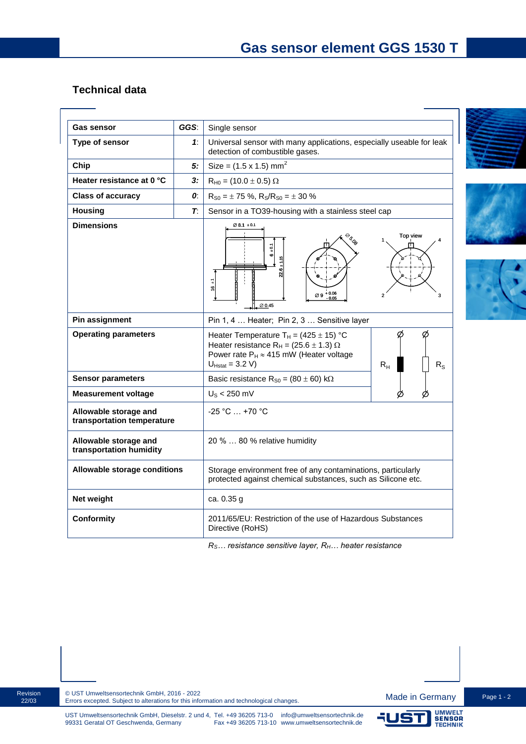## **Technical data**

| <b>Gas sensor</b>                                   | GGS:          | Single sensor                                                                                                                                                                                                   |
|-----------------------------------------------------|---------------|-----------------------------------------------------------------------------------------------------------------------------------------------------------------------------------------------------------------|
| Type of sensor                                      | 1:            | Universal sensor with many applications, especially useable for leak                                                                                                                                            |
|                                                     |               | detection of combustible gases.                                                                                                                                                                                 |
| Chip                                                | 5:            | Size = $(1.5 \times 1.5)$ mm <sup>2</sup>                                                                                                                                                                       |
| Heater resistance at 0 °C                           | 3:            | $R_{H0} = (10.0 \pm 0.5) \Omega$                                                                                                                                                                                |
| <b>Class of accuracy</b>                            | 0:            | $R_{S0} = \pm 75$ %, $R_S/R_{S0} = \pm 30$ %                                                                                                                                                                    |
| <b>Housing</b>                                      | $\mathcal{T}$ | Sensor in a TO39-housing with a stainless steel cap                                                                                                                                                             |
| <b>Dimensions</b>                                   |               | $\varnothing$ 8.1 $\pm$ 0.1<br>Top view<br><b>BRD</b><br>$\frac{5}{9}$<br>$\bullet$<br>ន<br>7<br>9<br>$+0.06$<br>Ø9<br>3<br>Ø0.45                                                                               |
| Pin assignment                                      |               | Pin 1, 4  Heater; Pin 2, 3  Sensitive layer                                                                                                                                                                     |
| <b>Operating parameters</b>                         |               | ø<br>Heater Temperature $T_H = (425 \pm 15)$ °C<br>Heater resistance R <sub>H</sub> = (25.6 $\pm$ 1.3) $\Omega$<br>Power rate $P_H \approx 415$ mW (Heater voltage<br>$U_{Hstat} = 3.2 V$<br>$R_{H}$<br>$R_{S}$ |
| <b>Sensor parameters</b>                            |               | Basic resistance $R_{S0} = (80 \pm 60) \text{ k}\Omega$                                                                                                                                                         |
| <b>Measurement voltage</b>                          |               | $US < 250$ mV                                                                                                                                                                                                   |
| Allowable storage and<br>transportation temperature |               | $-25 °C  +70 °C$                                                                                                                                                                                                |
| Allowable storage and<br>transportation humidity    |               | 20 %  80 % relative humidity                                                                                                                                                                                    |
| Allowable storage conditions                        |               | Storage environment free of any contaminations, particularly<br>protected against chemical substances, such as Silicone etc.                                                                                    |
| Net weight                                          |               | ca. 0.35 g                                                                                                                                                                                                      |
| Conformity                                          |               | 2011/65/EU: Restriction of the use of Hazardous Substances<br>Directive (RoHS)                                                                                                                                  |

*RS… resistance sensitive layer, RH… heater resistance*









51

UMWELT<br>SENSOR<br>TECHNIK